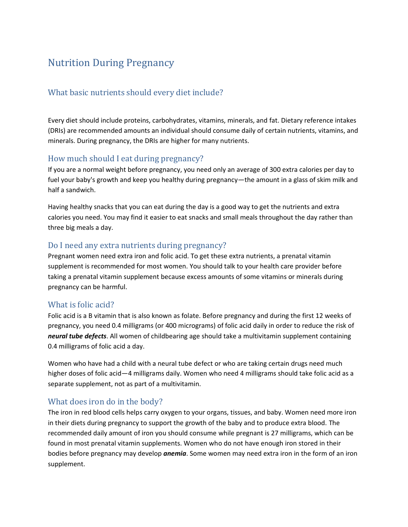# Nutrition During Pregnancy

## What basic nutrients should every diet include?

Every diet should include proteins, carbohydrates, vitamins, minerals, and fat. Dietary reference intakes (DRIs) are recommended amounts an individual should consume daily of certain nutrients, vitamins, and minerals. During pregnancy, the DRIs are higher for many nutrients.

## How much should I eat during pregnancy?

If you are a normal weight before pregnancy, you need only an average of 300 extra calories per day to fuel your baby's growth and keep you healthy during pregnancy—the amount in a glass of skim milk and half a sandwich.

Having healthy snacks that you can eat during the day is a good way to get the nutrients and extra calories you need. You may find it easier to eat snacks and small meals throughout the day rather than three big meals a day.

## Do I need any extra nutrients during pregnancy?

Pregnant women need extra iron and folic acid. To get these extra nutrients, a prenatal vitamin supplement is recommended for most women. You should talk to your health care provider before taking a prenatal vitamin supplement because excess amounts of some vitamins or minerals during pregnancy can be harmful.

## What is folic acid?

Folic acid is a B vitamin that is also known as folate. Before pregnancy and during the first 12 weeks of pregnancy, you need 0.4 milligrams (or 400 micrograms) of folic acid daily in order to reduce the risk of *neural tube defects*. All women of childbearing age should take a multivitamin supplement containing 0.4 milligrams of folic acid a day.

Women who have had a child with a neural tube defect or who are taking certain drugs need much higher doses of folic acid—4 milligrams daily. Women who need 4 milligrams should take folic acid as a separate supplement, not as part of a multivitamin.

#### What does iron do in the body?

The iron in red blood cells helps carry oxygen to your organs, tissues, and baby. Women need more iron in their diets during pregnancy to support the growth of the baby and to produce extra blood. The recommended daily amount of iron you should consume while pregnant is 27 milligrams, which can be found in most prenatal vitamin supplements. Women who do not have enough iron stored in their bodies before pregnancy may develop *anemia*. Some women may need extra iron in the form of an iron supplement.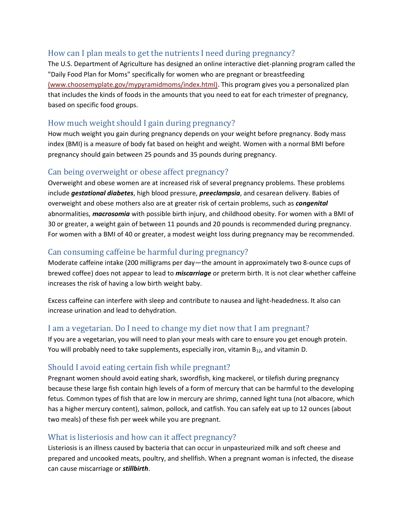## How can I plan meals to get the nutrients I need during pregnancy?

The U.S. Department of Agriculture has designed an online interactive diet-planning program called the "Daily Food Plan for Moms" specifically for women who are pregnant or breastfeeding [\(www.choosemyplate.gov/mypyramidmoms/index.html\).](http://www.acog.org/classic/leaving.cfm?http://www.choosemyplate.gov/mypyramidmoms/index.html) This program gives you a personalized plan that includes the kinds of foods in the amounts that you need to eat for each trimester of pregnancy, based on specific food groups.

## How much weight should I gain during pregnancy?

How much weight you gain during pregnancy depends on your weight before pregnancy. Body mass index (BMI) is a measure of body fat based on height and weight. Women with a normal BMI before pregnancy should gain between 25 pounds and 35 pounds during pregnancy.

#### Can being overweight or obese affect pregnancy?

Overweight and obese women are at increased risk of several pregnancy problems. These problems include *gestational diabetes*, high blood pressure, *preeclampsia*, and cesarean delivery. Babies of overweight and obese mothers also are at greater risk of certain problems, such as *congenital* abnormalities, *macrosomia* with possible birth injury, and childhood obesity. For women with a BMI of 30 or greater, a weight gain of between 11 pounds and 20 pounds is recommended during pregnancy. For women with a BMI of 40 or greater, a modest weight loss during pregnancy may be recommended.

## Can consuming caffeine be harmful during pregnancy?

Moderate caffeine intake (200 milligrams per day—the amount in approximately two 8-ounce cups of brewed coffee) does not appear to lead to *miscarriage* or preterm birth. It is not clear whether caffeine increases the risk of having a low birth weight baby.

Excess caffeine can interfere with sleep and contribute to nausea and light-headedness. It also can increase urination and lead to dehydration.

## I am a vegetarian. Do I need to change my diet now that I am pregnant?

If you are a vegetarian, you will need to plan your meals with care to ensure you get enough protein. You will probably need to take supplements, especially iron, vitamin  $B_{12}$ , and vitamin D.

## Should I avoid eating certain fish while pregnant?

Pregnant women should avoid eating shark, swordfish, king mackerel, or tilefish during pregnancy because these large fish contain high levels of a form of mercury that can be harmful to the developing fetus. Common types of fish that are low in mercury are shrimp, canned light tuna (not albacore, which has a higher mercury content), salmon, pollock, and catfish. You can safely eat up to 12 ounces (about two meals) of these fish per week while you are pregnant.

#### What is listeriosis and how can it affect pregnancy?

Listeriosis is an illness caused by bacteria that can occur in unpasteurized milk and soft cheese and prepared and uncooked meats, poultry, and shellfish. When a pregnant woman is infected, the disease can cause miscarriage or *stillbirth*.